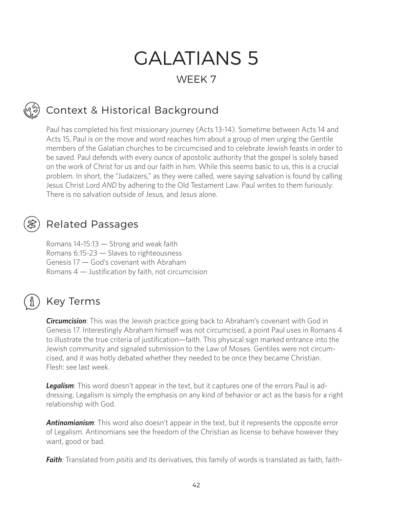# GALATIANS 5

# WEEK 7

# Context & Historical Background

Paul has completed his first missionary journey (Acts 13-14). Sometime between Acts 14 and Acts 15, Paul is on the move and word reaches him about a group of men urging the Gentile members of the Galatian churches to be circumcised and to celebrate Jewish feasts in order to be saved. Paul defends with every ounce of apostolic authority that the gospel is solely based on the work of Christ for us and our faith in him. While this seems basic to us, this is a crucial problem. In short, the "Judaizers," as they were called, were saying salvation is found by calling Jesus Christ Lord *AND* by adhering to the Old Testament Law. Paul writes to them furiously: There is no salvation outside of Jesus, and Jesus alone.

# Related Passages

Romans 14-15:13 — Strong and weak faith Romans 6:15-23 — Slaves to righteousness Genesis 17 — God's covenant with Abraham Romans 4 — Justification by faith, not circumcision

# Key Terms

*Circumcision*: This was the Jewish practice going back to Abraham's covenant with God in Genesis 17. Interestingly Abraham himself was not circumcised, a point Paul uses in Romans 4 to illustrate the true criteria of justification—faith. This physical sign marked entrance into the Jewish community and signaled submission to the Law of Moses. Gentiles were not circumcised, and it was hotly debated whether they needed to be once they became Christian. Flesh: see last week.

**Legalism**: This word doesn't appear in the text, but it captures one of the errors Paul is addressing. Legalism is simply the emphasis on any kind of behavior or act as the basis for a right relationship with God.

*Antinomianism*: This word also doesn't appear in the text, but it represents the opposite error of Legalism. Antinomians see the freedom of the Christian as license to behave however they want, good or bad.

*Faith*: Translated from *pisitis* and its derivatives, this family of words is translated as faith, faith-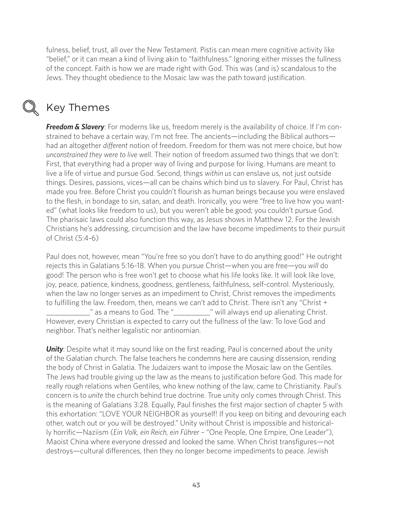fulness, belief, trust, all over the New Testament. Pistis can mean mere cognitive activity like "belief," or it can mean a kind of living akin to "faithfulness." Ignoring either misses the fullness of the concept. Faith is how we are made right with God. This was (and is) scandalous to the Jews. They thought obedience to the Mosaic law was the path toward justification.



## Key Themes

**Freedom & Slavery**: For moderns like us, freedom merely is the availability of choice. If I'm constrained to behave a certain way, I'm not free. The ancients—including the Biblical authors had an altogether *different* notion of freedom. Freedom for them was not mere choice, but how *unconstrained they were to live well*. Their notion of freedom assumed two things that we don't: First, that everything had a proper way of living and purpose for living. Humans are meant to live a life of virtue and pursue God. Second, things *within us* can enslave us, not just outside things. Desires, passions, vices—all can be chains which bind us to slavery. For Paul, Christ has made you free. Before Christ you couldn't flourish as human beings because you were enslaved to the flesh, in bondage to sin, satan, and death. Ironically, you were "free to live how you wanted" (what looks like freedom to us), but you weren't able be good; you couldn't pursue God. The pharisaic laws could also function this way, as Jesus shows in Matthew 12. For the Jewish Christians he's addressing, circumcision and the law have become impediments to their pursuit of Christ (5:4-6)

Paul does not, however, mean "You're free so you don't have to do anything good!" He outright rejects this in Galatians 5:16-18. When you pursue Christ—when you are free—you *will* do good! The person who is free won't get to choose what his life looks like. It will look like love, joy, peace, patience, kindness, goodness, gentleness, faithfulness, self-control. Mysteriously, when the law no longer serves as an impediment to Christ, Christ removes the impediments to fulfilling the law. Freedom, then, means we can't add to Christ. There isn't any "Christ + **\_\_\_\_\_\_**" as a means to God. The "\_\_\_\_\_\_\_\_\_\_" will always end up alienating Christ. However, every Christian is expected to carry out the fullness of the law: To love God and neighbor. That's neither legalistic nor antinomian.

**Unity**: Despite what it may sound like on the first reading, Paul is concerned about the unity of the Galatian church. The false teachers he condemns here are causing dissension, rending the body of Christ in Galatia. The Judaizers want to impose the Mosaic law on the Gentiles. The Jews had trouble giving up the law as the means to justification before God. This made for really rough relations when Gentiles, who knew nothing of the law, came to Christianity. Paul's concern is to *unite* the church behind true doctrine. True unity only comes through Christ. This is the meaning of Galatians 3:28. Equally, Paul finishes the first major section of chapter 5 with this exhortation: "LOVE YOUR NEIGHBOR as yourself! If you keep on biting and devouring each other, watch out or you will be destroyed." Unity without Christ is impossible and historically horrific—Naziism (*Ein Volk, ein Reich, ein Führer* – "One People, One Empire, One Leader"), Maoist China where everyone dressed and looked the same. When Christ transfigures—not destroys—cultural differences, then they no longer become impediments to peace. Jewish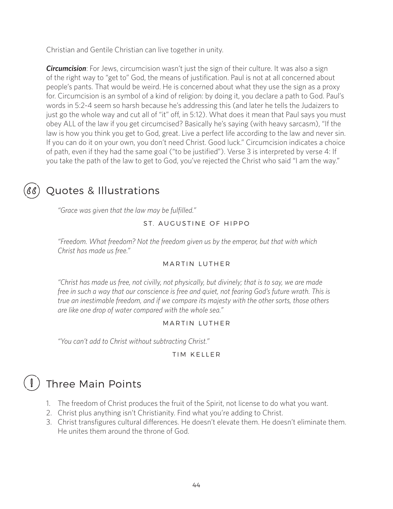Christian and Gentile Christian can live together in unity.

*Circumcision*: For Jews, circumcision wasn't just the sign of their culture. It was also a sign of the right way to "get to" God, the means of justification. Paul is not at all concerned about people's pants. That would be weird. He is concerned about what they use the sign as a proxy for. Circumcision is an symbol of a kind of religion: by doing it, you declare a path to God. Paul's words in 5:2-4 seem so harsh because he's addressing this (and later he tells the Judaizers to just go the whole way and cut all of "it" off, in 5:12). What does it mean that Paul says you must obey ALL of the law if you get circumcised? Basically he's saying (with heavy sarcasm), "If the law is how you think you get to God, great. Live a perfect life according to the law and never sin. If you can do it on your own, you don't need Christ. Good luck." Circumcision indicates a choice of path, even if they had the same goal ("to be justified"). Verse 3 is interpreted by verse 4: If you take the path of the law to get to God, you've rejected the Christ who said "I am the way."



# Quotes & Illustrations

*"Grace was given that the law may be fulfilled."*

### ST. AUGUSTINE OF HIPPO

*"Freedom. What freedom? Not the freedom given us by the emperor, but that with which Christ has made us free."*

### **MARTIN LUTHER**

*"Christ has made us free, not civilly, not physically, but divinely; that is to say, we are made free in such a way that our conscience is free and quiet, not fearing God's future wrath. This is true an inestimable freedom, and if we compare its majesty with the other sorts, those others are like one drop of water compared with the whole sea."*

### MARTIN LUTHER

*"You can't add to Christ without subtracting Christ."*

### TIM KELLER

# Three Main Points

- 1. The freedom of Christ produces the fruit of the Spirit, not license to do what you want.
- 2. Christ plus anything isn't Christianity. Find what you're adding to Christ.
- 3. Christ transfigures cultural differences. He doesn't elevate them. He doesn't eliminate them. He unites them around the throne of God.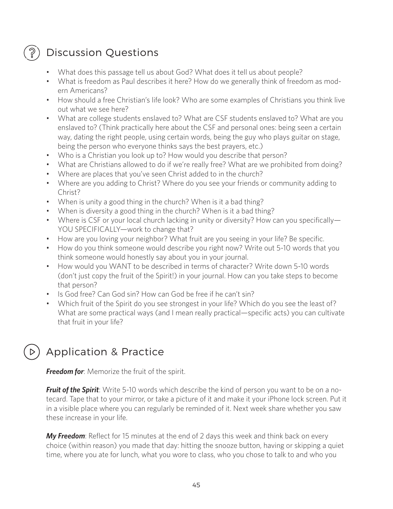# Discussion Questions

Ş

- What does this passage tell us about God? What does it tell us about people?
- What is freedom as Paul describes it here? How do we generally think of freedom as modern Americans?
- How should a free Christian's life look? Who are some examples of Christians you think live out what we see here?
- What are college students enslaved to? What are CSF students enslaved to? What are you enslaved to? (Think practically here about the CSF and personal ones: being seen a certain way, dating the right people, using certain words, being the guy who plays guitar on stage, being the person who everyone thinks says the best prayers, etc.)
- Who is a Christian you look up to? How would you describe that person?
- What are Christians allowed to do if we're really free? What are we prohibited from doing?
- Where are places that you've seen Christ added to in the church?
- Where are you adding to Christ? Where do you see your friends or community adding to Christ?
- When is unity a good thing in the church? When is it a bad thing?
- When is diversity a good thing in the church? When is it a bad thing?
- Where is CSF or your local church lacking in unity or diversity? How can you specifically— YOU SPECIFICALLY-work to change that?
- How are you loving your neighbor? What fruit are you seeing in your life? Be specific.
- How do you think someone would describe you right now? Write out 5-10 words that you think someone would honestly say about you in your journal.
- How would you WANT to be described in terms of character? Write down 5-10 words (don't just copy the fruit of the Spirit!) in your journal. How can you take steps to become that person?
- Is God free? Can God sin? How can God be free if he can't sin?
- Which fruit of the Spirit do you see strongest in your life? Which do you see the least of? What are some practical ways (and I mean really practical—specific acts) you can cultivate that fruit in your life?

# Application & Practice

*Freedom for*: Memorize the fruit of the spirit.

*Fruit of the Spirit*: Write 5-10 words which describe the kind of person you want to be on a notecard. Tape that to your mirror, or take a picture of it and make it your iPhone lock screen. Put it in a visible place where you can regularly be reminded of it. Next week share whether you saw these increase in your life.

*My Freedom*: Reflect for 15 minutes at the end of 2 days this week and think back on every choice (within reason) you made that day: hitting the snooze button, having or skipping a quiet time, where you ate for lunch, what you wore to class, who you chose to talk to and who you